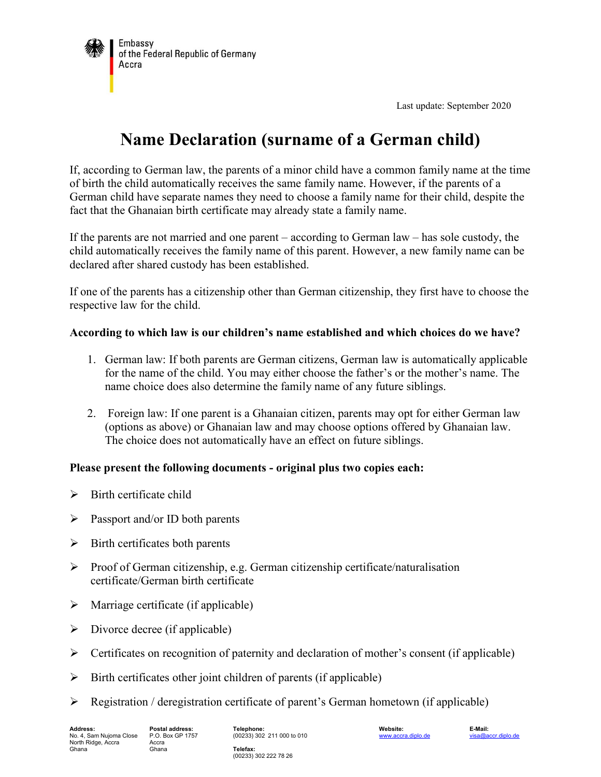

Last update: September 2020

# **Name Declaration (surname of a German child)**

If, according to German law, the parents of a minor child have a common family name at the time of birth the child automatically receives the same family name. However, if the parents of a German child have separate names they need to choose a family name for their child, despite the fact that the Ghanaian birth certificate may already state a family name.

If the parents are not married and one parent – according to German law – has sole custody, the child automatically receives the family name of this parent. However, a new family name can be declared after shared custody has been established.

If one of the parents has a citizenship other than German citizenship, they first have to choose the respective law for the child.

#### **According to which law is our children's name established and which choices do we have?**

- 1. German law: If both parents are German citizens, German law is automatically applicable for the name of the child. You may either choose the father's or the mother's name. The name choice does also determine the family name of any future siblings.
- 2. Foreign law: If one parent is a Ghanaian citizen, parents may opt for either German law (options as above) or Ghanaian law and may choose options offered by Ghanaian law. The choice does not automatically have an effect on future siblings.

## **Please present the following documents - original plus two copies each:**

- $\triangleright$  Birth certificate child
- $\triangleright$  Passport and/or ID both parents
- $\triangleright$  Birth certificates both parents
- Proof of German citizenship, e.g. German citizenship certificate/naturalisation certificate/German birth certificate
- $\triangleright$  Marriage certificate (if applicable)
- $\triangleright$  Divorce decree (if applicable)
- $\triangleright$  Certificates on recognition of paternity and declaration of mother's consent (if applicable)
- $\triangleright$  Birth certificates other joint children of parents (if applicable)
- $\triangleright$  Registration / deregistration certificate of parent's German hometown (if applicable)

(00233) 302 211 000 to 010

**Telefax:** (00233) 302 222 78 26